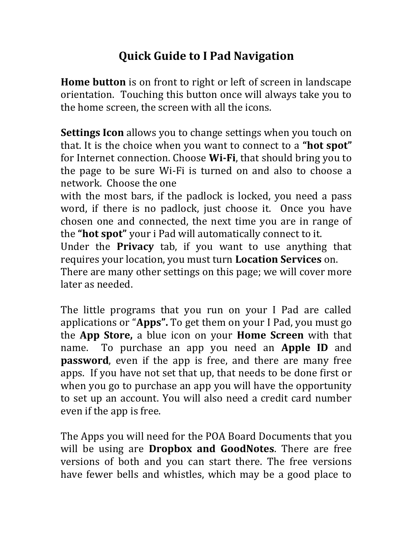## **Quick Guide to I Pad Navigation**

**Home button** is on front to right or left of screen in landscape orientation. Touching this button once will always take you to the home screen, the screen with all the icons.

**Settings Icon** allows you to change settings when you touch on that. It is the choice when you want to connect to a **"hot spot"** for Internet connection. Choose **Wi-Fi**, that should bring you to the page to be sure Wi-Fi is turned on and also to choose a network. Choose the one

with the most bars, if the padlock is locked, you need a pass word, if there is no padlock, just choose it. Once you have chosen one and connected, the next time you are in range of the **"hot spot"** your i Pad will automatically connect to it.

Under the **Privacy** tab, if you want to use anything that requires your location, you must turn **Location Services** on.

There are many other settings on this page; we will cover more later as needed.

The little programs that you run on your I Pad are called applications or "**Apps".** To get them on your I Pad, you must go the **App Store,** a blue icon on your **Home Screen** with that name. To purchase an app you need an **Apple ID** and **password**, even if the app is free, and there are many free apps. If you have not set that up, that needs to be done first or when you go to purchase an app you will have the opportunity to set up an account. You will also need a credit card number even if the app is free.

The Apps you will need for the POA Board Documents that you will be using are **Dropbox and GoodNotes**. There are free versions of both and you can start there. The free versions have fewer bells and whistles, which may be a good place to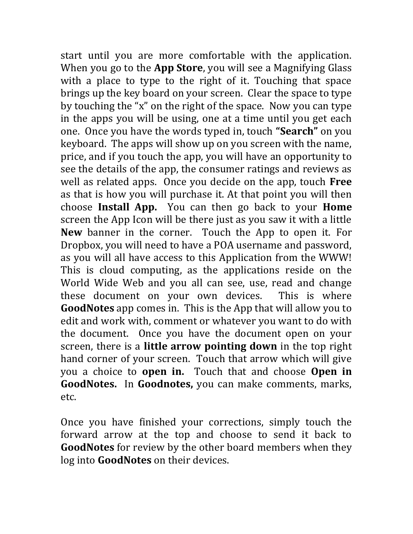start until you are more comfortable with the application. When you go to the **App Store**, you will see a Magnifying Glass with a place to type to the right of it. Touching that space brings up the key board on your screen. Clear the space to type by touching the "x" on the right of the space. Now you can type in the apps you will be using, one at a time until you get each one. Once you have the words typed in, touch **"Search"** on you keyboard. The apps will show up on you screen with the name, price, and if you touch the app, you will have an opportunity to see the details of the app, the consumer ratings and reviews as well as related apps. Once you decide on the app, touch **Free** as that is how you will purchase it. At that point you will then choose **Install App.** You can then go back to your **Home**  screen the App Icon will be there just as you saw it with a little **New** banner in the corner. Touch the App to open it. For Dropbox, you will need to have a POA username and password, as you will all have access to this Application from the WWW! This is cloud computing, as the applications reside on the World Wide Web and you all can see, use, read and change these document on your own devices. This is where **GoodNotes** app comes in. This is the App that will allow you to edit and work with, comment or whatever you want to do with the document. Once you have the document open on your screen, there is a **little arrow pointing down** in the top right hand corner of your screen. Touch that arrow which will give you a choice to **open in.** Touch that and choose **Open in GoodNotes.** In **Goodnotes,** you can make comments, marks, etc.

Once you have finished your corrections, simply touch the forward arrow at the top and choose to send it back to **GoodNotes** for review by the other board members when they log into **GoodNotes** on their devices.